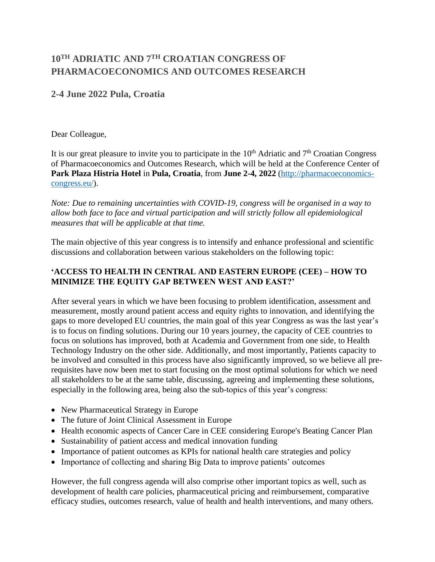## **10TH ADRIATIC AND 7 TH CROATIAN CONGRESS OF PHARMACOECONOMICS AND OUTCOMES RESEARCH**

## **2-4 June 2022 Pula, Croatia**

## Dear Colleague,

It is our great pleasure to invite you to participate in the  $10<sup>th</sup>$  Adriatic and  $7<sup>th</sup>$  Croatian Congress of Pharmacoeconomics and Outcomes Research, which will be held at the Conference Center of **Park Plaza Histria Hotel** in **Pula, Croatia**, from **June 2-4, 2022** [\(http://pharmacoeconomics](http://pharmacoeconomics-congress.eu/)[congress.eu/\)](http://pharmacoeconomics-congress.eu/).

*Note: Due to remaining uncertainties with COVID-19, congress will be organised in a way to allow both face to face and virtual participation and will strictly follow all epidemiological measures that will be applicable at that time.*

The main objective of this year congress is to intensify and enhance professional and scientific discussions and collaboration between various stakeholders on the following topic:

## **'ACCESS TO HEALTH IN CENTRAL AND EASTERN EUROPE (CEE) – HOW TO MINIMIZE THE EQUITY GAP BETWEEN WEST AND EAST?'**

After several years in which we have been focusing to problem identification, assessment and measurement, mostly around patient access and equity rights to innovation, and identifying the gaps to more developed EU countries, the main goal of this year Congress as was the last year's is to focus on finding solutions. During our 10 years journey, the capacity of CEE countries to focus on solutions has improved, both at Academia and Government from one side, to Health Technology Industry on the other side. Additionally, and most importantly, Patients capacity to be involved and consulted in this process have also significantly improved, so we believe all prerequisites have now been met to start focusing on the most optimal solutions for which we need all stakeholders to be at the same table, discussing, agreeing and implementing these solutions, especially in the following area, being also the sub-topics of this year's congress:

- New Pharmaceutical Strategy in Europe
- The future of Joint Clinical Assessment in Europe
- Health economic aspects of Cancer Care in CEE considering Europe's Beating Cancer Plan
- Sustainability of patient access and medical innovation funding
- Importance of patient outcomes as KPIs for national health care strategies and policy
- Importance of collecting and sharing Big Data to improve patients' outcomes

However, the full congress agenda will also comprise other important topics as well, such as development of health care policies, pharmaceutical pricing and reimbursement, comparative efficacy studies, outcomes research, value of health and health interventions, and many others.